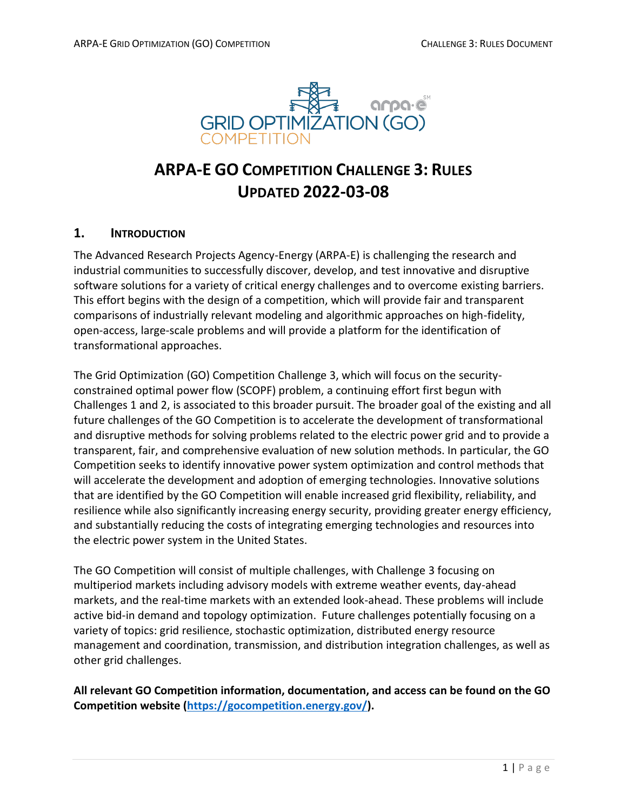

# **ARPA-E GO COMPETITION CHALLENGE 3: RULES UPDATED 2022-03-08**

# **1. INTRODUCTION**

The Advanced Research Projects Agency-Energy (ARPA-E) is challenging the research and industrial communities to successfully discover, develop, and test innovative and disruptive software solutions for a variety of critical energy challenges and to overcome existing barriers. This effort begins with the design of a competition, which will provide fair and transparent comparisons of industrially relevant modeling and algorithmic approaches on high-fidelity, open-access, large-scale problems and will provide a platform for the identification of transformational approaches.

The Grid Optimization (GO) Competition Challenge 3, which will focus on the securityconstrained optimal power flow (SCOPF) problem, a continuing effort first begun with Challenges 1 and 2, is associated to this broader pursuit. The broader goal of the existing and all future challenges of the GO Competition is to accelerate the development of transformational and disruptive methods for solving problems related to the electric power grid and to provide a transparent, fair, and comprehensive evaluation of new solution methods. In particular, the GO Competition seeks to identify innovative power system optimization and control methods that will accelerate the development and adoption of emerging technologies. Innovative solutions that are identified by the GO Competition will enable increased grid flexibility, reliability, and resilience while also significantly increasing energy security, providing greater energy efficiency, and substantially reducing the costs of integrating emerging technologies and resources into the electric power system in the United States.

The GO Competition will consist of multiple challenges, with Challenge 3 focusing on multiperiod markets including advisory models with extreme weather events, day-ahead markets, and the real-time markets with an extended look-ahead. These problems will include active bid-in demand and topology optimization. Future challenges potentially focusing on a variety of topics: grid resilience, stochastic optimization, distributed energy resource management and coordination, transmission, and distribution integration challenges, as well as other grid challenges.

**All relevant GO Competition information, documentation, and access can be found on the GO Competition website [\(https://gocompetition.energy.gov/\)](https://gocompetition.energy.gov/).**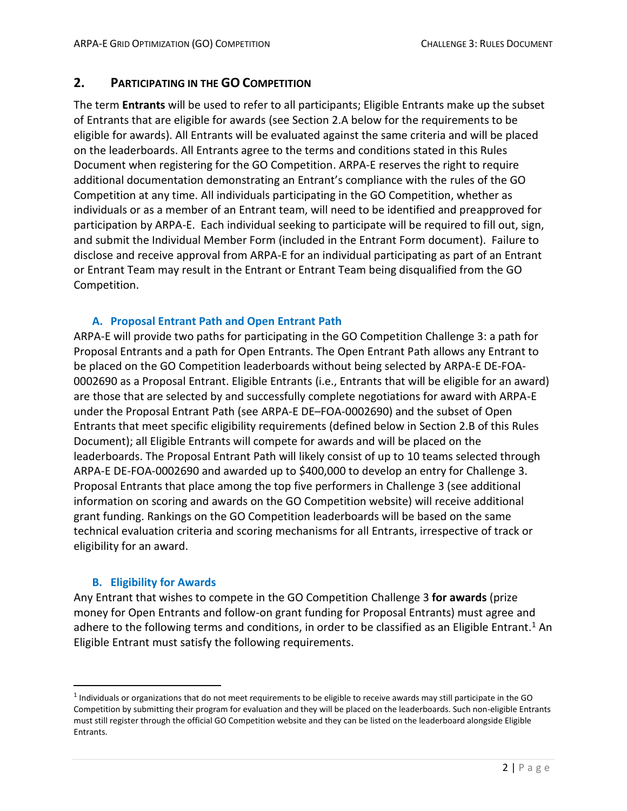# **2. PARTICIPATING IN THE GO COMPETITION**

The term **Entrants** will be used to refer to all participants; Eligible Entrants make up the subset of Entrants that are eligible for awards (see Section 2.A below for the requirements to be eligible for awards). All Entrants will be evaluated against the same criteria and will be placed on the leaderboards. All Entrants agree to the terms and conditions stated in this Rules Document when registering for the GO Competition. ARPA-E reserves the right to require additional documentation demonstrating an Entrant's compliance with the rules of the GO Competition at any time. All individuals participating in the GO Competition, whether as individuals or as a member of an Entrant team, will need to be identified and preapproved for participation by ARPA-E. Each individual seeking to participate will be required to fill out, sign, and submit the Individual Member Form (included in the Entrant Form document). Failure to disclose and receive approval from ARPA-E for an individual participating as part of an Entrant or Entrant Team may result in the Entrant or Entrant Team being disqualified from the GO Competition.

# **A. Proposal Entrant Path and Open Entrant Path**

ARPA-E will provide two paths for participating in the GO Competition Challenge 3: a path for Proposal Entrants and a path for Open Entrants. The Open Entrant Path allows any Entrant to be placed on the GO Competition leaderboards without being selected by ARPA-E DE-FOA-0002690 as a Proposal Entrant. Eligible Entrants (i.e., Entrants that will be eligible for an award) are those that are selected by and successfully complete negotiations for award with ARPA-E under the Proposal Entrant Path (see ARPA-E DE–FOA-0002690) and the subset of Open Entrants that meet specific eligibility requirements (defined below in Section 2.B of this Rules Document); all Eligible Entrants will compete for awards and will be placed on the leaderboards. The Proposal Entrant Path will likely consist of up to 10 teams selected through ARPA-E DE-FOA-0002690 and awarded up to \$400,000 to develop an entry for Challenge 3. Proposal Entrants that place among the top five performers in Challenge 3 (see additional information on scoring and awards on the GO Competition website) will receive additional grant funding. Rankings on the GO Competition leaderboards will be based on the same technical evaluation criteria and scoring mechanisms for all Entrants, irrespective of track or eligibility for an award.

### **B. Eligibility for Awards**

Any Entrant that wishes to compete in the GO Competition Challenge 3 **for awards** (prize money for Open Entrants and follow-on grant funding for Proposal Entrants) must agree and adhere to the following terms and conditions, in order to be classified as an Eligible Entrant.<sup>1</sup> An Eligible Entrant must satisfy the following requirements.

 $^1$  Individuals or organizations that do not meet requirements to be eligible to receive awards may still participate in the GO Competition by submitting their program for evaluation and they will be placed on the leaderboards. Such non-eligible Entrants must still register through the official GO Competition website and they can be listed on the leaderboard alongside Eligible Entrants.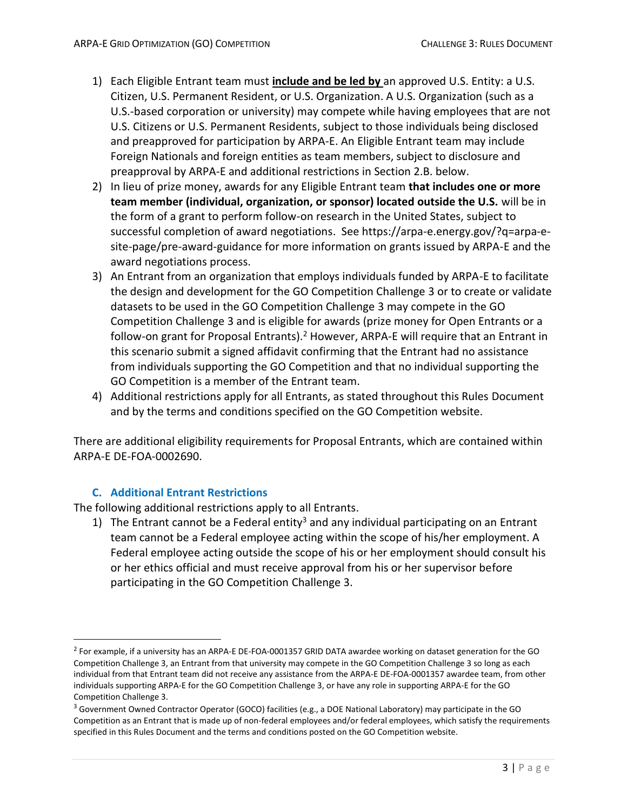- 1) Each Eligible Entrant team must **include and be led by** an approved U.S. Entity: a U.S. Citizen, U.S. Permanent Resident, or U.S. Organization. A U.S. Organization (such as a U.S.-based corporation or university) may compete while having employees that are not U.S. Citizens or U.S. Permanent Residents, subject to those individuals being disclosed and preapproved for participation by ARPA-E. An Eligible Entrant team may include Foreign Nationals and foreign entities as team members, subject to disclosure and preapproval by ARPA-E and additional restrictions in Section 2.B. below.
- 2) In lieu of prize money, awards for any Eligible Entrant team **that includes one or more team member (individual, organization, or sponsor) located outside the U.S.** will be in the form of a grant to perform follow-on research in the United States, subject to successful completion of award negotiations. See https://arpa-e.energy.gov/?q=arpa-esite-page/pre-award-guidance for more information on grants issued by ARPA-E and the award negotiations process.
- 3) An Entrant from an organization that employs individuals funded by ARPA-E to facilitate the design and development for the GO Competition Challenge 3 or to create or validate datasets to be used in the GO Competition Challenge 3 may compete in the GO Competition Challenge 3 and is eligible for awards (prize money for Open Entrants or a follow-on grant for Proposal Entrants).<sup>2</sup> However, ARPA-E will require that an Entrant in this scenario submit a signed affidavit confirming that the Entrant had no assistance from individuals supporting the GO Competition and that no individual supporting the GO Competition is a member of the Entrant team.
- 4) Additional restrictions apply for all Entrants, as stated throughout this Rules Document and by the terms and conditions specified on the GO Competition website.

There are additional eligibility requirements for Proposal Entrants, which are contained within ARPA-E DE-FOA-0002690.

### **C. Additional Entrant Restrictions**

The following additional restrictions apply to all Entrants.

1) The Entrant cannot be a Federal entity<sup>3</sup> and any individual participating on an Entrant team cannot be a Federal employee acting within the scope of his/her employment. A Federal employee acting outside the scope of his or her employment should consult his or her ethics official and must receive approval from his or her supervisor before participating in the GO Competition Challenge 3.

<sup>&</sup>lt;sup>2</sup> For example, if a university has an ARPA-E DE-FOA-0001357 GRID DATA awardee working on dataset generation for the GO Competition Challenge 3, an Entrant from that university may compete in the GO Competition Challenge 3 so long as each individual from that Entrant team did not receive any assistance from the ARPA-E DE-FOA-0001357 awardee team, from other individuals supporting ARPA-E for the GO Competition Challenge 3, or have any role in supporting ARPA-E for the GO Competition Challenge 3.

 $3$  Government Owned Contractor Operator (GOCO) facilities (e.g., a DOE National Laboratory) may participate in the GO Competition as an Entrant that is made up of non-federal employees and/or federal employees, which satisfy the requirements specified in this Rules Document and the terms and conditions posted on the GO Competition website.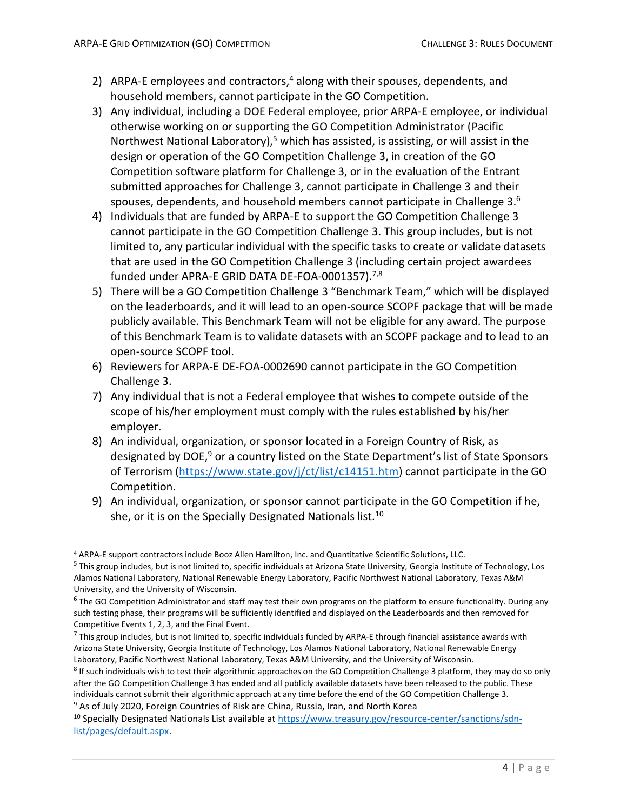- 2) ARPA-E employees and contractors,<sup>4</sup> along with their spouses, dependents, and household members, cannot participate in the GO Competition.
- 3) Any individual, including a DOE Federal employee, prior ARPA-E employee, or individual otherwise working on or supporting the GO Competition Administrator (Pacific Northwest National Laboratory),<sup>5</sup> which has assisted, is assisting, or will assist in the design or operation of the GO Competition Challenge 3, in creation of the GO Competition software platform for Challenge 3, or in the evaluation of the Entrant submitted approaches for Challenge 3, cannot participate in Challenge 3 and their spouses, dependents, and household members cannot participate in Challenge 3. $^6$
- 4) Individuals that are funded by ARPA-E to support the GO Competition Challenge 3 cannot participate in the GO Competition Challenge 3. This group includes, but is not limited to, any particular individual with the specific tasks to create or validate datasets that are used in the GO Competition Challenge 3 (including certain project awardees funded under APRA-E GRID DATA DE-FOA-0001357). 7,8
- 5) There will be a GO Competition Challenge 3 "Benchmark Team," which will be displayed on the leaderboards, and it will lead to an open-source SCOPF package that will be made publicly available. This Benchmark Team will not be eligible for any award. The purpose of this Benchmark Team is to validate datasets with an SCOPF package and to lead to an open-source SCOPF tool.
- 6) Reviewers for ARPA-E DE-FOA-0002690 cannot participate in the GO Competition Challenge 3.
- 7) Any individual that is not a Federal employee that wishes to compete outside of the scope of his/her employment must comply with the rules established by his/her employer.
- 8) An individual, organization, or sponsor located in a Foreign Country of Risk, as designated by DOE,<sup>9</sup> or a country listed on the State Department's list of State Sponsors of Terrorism [\(https://www.state.gov/j/ct/list/c14151.htm\)](https://www.state.gov/j/ct/list/c14151.htm) cannot participate in the GO Competition.
- 9) An individual, organization, or sponsor cannot participate in the GO Competition if he, she, or it is on the Specially Designated Nationals list.<sup>10</sup>

<sup>9</sup> As of July 2020, Foreign Countries of Risk are China, Russia, Iran, and North Korea

<sup>4</sup> ARPA-E support contractors include Booz Allen Hamilton, Inc. and Quantitative Scientific Solutions, LLC.

<sup>&</sup>lt;sup>5</sup> This group includes, but is not limited to, specific individuals at Arizona State University, Georgia Institute of Technology, Los Alamos National Laboratory, National Renewable Energy Laboratory, Pacific Northwest National Laboratory, Texas A&M University, and the University of Wisconsin.

 $^6$  The GO Competition Administrator and staff may test their own programs on the platform to ensure functionality. During any such testing phase, their programs will be sufficiently identified and displayed on the Leaderboards and then removed for Competitive Events 1, 2, 3, and the Final Event.

 $^7$  This group includes, but is not limited to, specific individuals funded by ARPA-E through financial assistance awards with Arizona State University, Georgia Institute of Technology, Los Alamos National Laboratory, National Renewable Energy Laboratory, Pacific Northwest National Laboratory, Texas A&M University, and the University of Wisconsin.

<sup>&</sup>lt;sup>8</sup> If such individuals wish to test their algorithmic approaches on the GO Competition Challenge 3 platform, they may do so only after the GO Competition Challenge 3 has ended and all publicly available datasets have been released to the public. These individuals cannot submit their algorithmic approach at any time before the end of the GO Competition Challenge 3.

<sup>&</sup>lt;sup>10</sup> Specially Designated Nationals List available a[t https://www.treasury.gov/resource-center/sanctions/sdn](https://www.treasury.gov/resource-center/sanctions/sdn-list/pages/default.aspx)[list/pages/default.aspx.](https://www.treasury.gov/resource-center/sanctions/sdn-list/pages/default.aspx)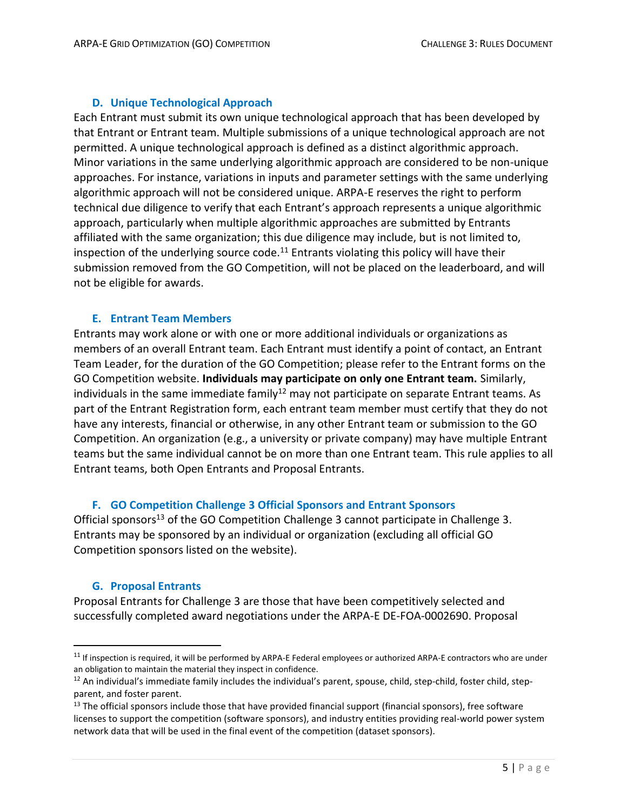## **D. Unique Technological Approach**

Each Entrant must submit its own unique technological approach that has been developed by that Entrant or Entrant team. Multiple submissions of a unique technological approach are not permitted. A unique technological approach is defined as a distinct algorithmic approach. Minor variations in the same underlying algorithmic approach are considered to be non-unique approaches. For instance, variations in inputs and parameter settings with the same underlying algorithmic approach will not be considered unique. ARPA-E reserves the right to perform technical due diligence to verify that each Entrant's approach represents a unique algorithmic approach, particularly when multiple algorithmic approaches are submitted by Entrants affiliated with the same organization; this due diligence may include, but is not limited to, inspection of the underlying source code.<sup>11</sup> Entrants violating this policy will have their submission removed from the GO Competition, will not be placed on the leaderboard, and will not be eligible for awards.

### **E. Entrant Team Members**

Entrants may work alone or with one or more additional individuals or organizations as members of an overall Entrant team. Each Entrant must identify a point of contact, an Entrant Team Leader, for the duration of the GO Competition; please refer to the Entrant forms on the GO Competition website. **Individuals may participate on only one Entrant team.** Similarly, individuals in the same immediate family<sup>12</sup> may not participate on separate Entrant teams. As part of the Entrant Registration form, each entrant team member must certify that they do not have any interests, financial or otherwise, in any other Entrant team or submission to the GO Competition. An organization (e.g., a university or private company) may have multiple Entrant teams but the same individual cannot be on more than one Entrant team. This rule applies to all Entrant teams, both Open Entrants and Proposal Entrants.

### **F. GO Competition Challenge 3 Official Sponsors and Entrant Sponsors**

Official sponsors<sup>13</sup> of the GO Competition Challenge 3 cannot participate in Challenge 3. Entrants may be sponsored by an individual or organization (excluding all official GO Competition sponsors listed on the website).

### **G. Proposal Entrants**

Proposal Entrants for Challenge 3 are those that have been competitively selected and successfully completed award negotiations under the ARPA-E DE-FOA-0002690. Proposal

 $11$  If inspection is required, it will be performed by ARPA-E Federal employees or authorized ARPA-E contractors who are under an obligation to maintain the material they inspect in confidence.

 $12$  An individual's immediate family includes the individual's parent, spouse, child, step-child, foster child, stepparent, and foster parent.

 $13$  The official sponsors include those that have provided financial support (financial sponsors), free software licenses to support the competition (software sponsors), and industry entities providing real-world power system network data that will be used in the final event of the competition (dataset sponsors).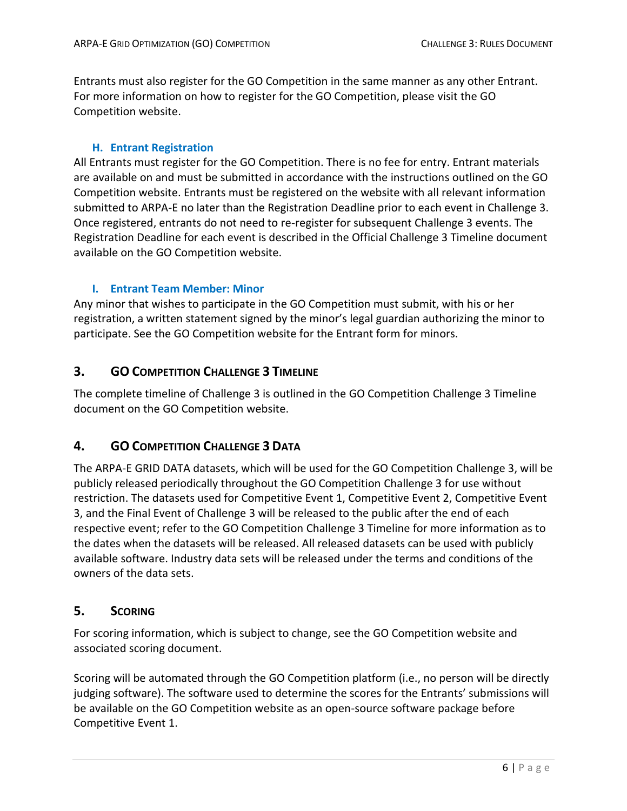Entrants must also register for the GO Competition in the same manner as any other Entrant. For more information on how to register for the GO Competition, please visit the GO Competition website.

#### **H. Entrant Registration**

All Entrants must register for the GO Competition. There is no fee for entry. Entrant materials are available on and must be submitted in accordance with the instructions outlined on the GO Competition website. Entrants must be registered on the website with all relevant information submitted to ARPA-E no later than the Registration Deadline prior to each event in Challenge 3. Once registered, entrants do not need to re-register for subsequent Challenge 3 events. The Registration Deadline for each event is described in the Official Challenge 3 Timeline document available on the GO Competition website.

#### **I. Entrant Team Member: Minor**

Any minor that wishes to participate in the GO Competition must submit, with his or her registration, a written statement signed by the minor's legal guardian authorizing the minor to participate. See the GO Competition website for the Entrant form for minors.

# **3. GO COMPETITION CHALLENGE 3 TIMELINE**

The complete timeline of Challenge 3 is outlined in the GO Competition Challenge 3 Timeline document on the GO Competition website.

# **4. GO COMPETITION CHALLENGE 3 DATA**

The ARPA-E GRID DATA datasets, which will be used for the GO Competition Challenge 3, will be publicly released periodically throughout the GO Competition Challenge 3 for use without restriction. The datasets used for Competitive Event 1, Competitive Event 2, Competitive Event 3, and the Final Event of Challenge 3 will be released to the public after the end of each respective event; refer to the GO Competition Challenge 3 Timeline for more information as to the dates when the datasets will be released. All released datasets can be used with publicly available software. Industry data sets will be released under the terms and conditions of the owners of the data sets.

# **5. SCORING**

For scoring information, which is subject to change, see the GO Competition website and associated scoring document.

Scoring will be automated through the GO Competition platform (i.e., no person will be directly judging software). The software used to determine the scores for the Entrants' submissions will be available on the GO Competition website as an open-source software package before Competitive Event 1.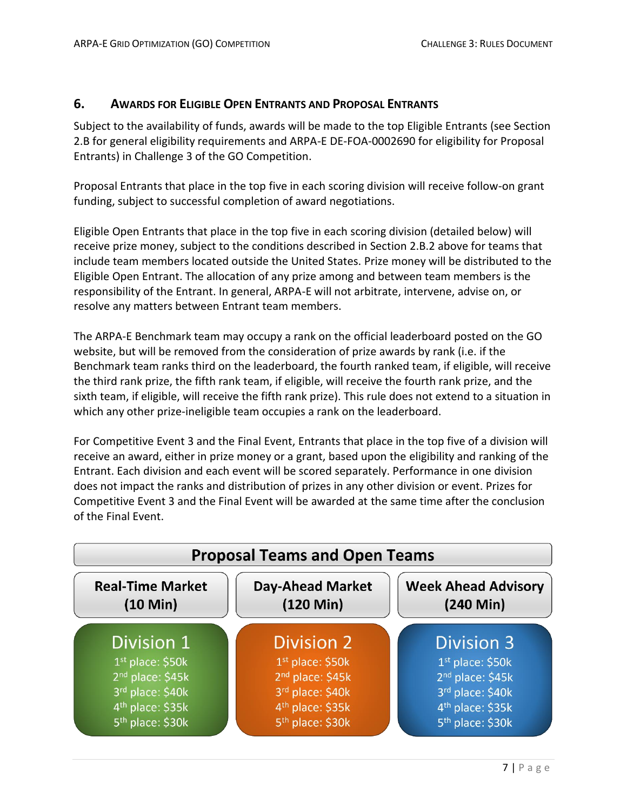# **6. AWARDS FOR ELIGIBLE OPEN ENTRANTS AND PROPOSAL ENTRANTS**

Subject to the availability of funds, awards will be made to the top Eligible Entrants (see Section 2.B for general eligibility requirements and ARPA-E DE-FOA-0002690 for eligibility for Proposal Entrants) in Challenge 3 of the GO Competition.

Proposal Entrants that place in the top five in each scoring division will receive follow-on grant funding, subject to successful completion of award negotiations.

Eligible Open Entrants that place in the top five in each scoring division (detailed below) will receive prize money, subject to the conditions described in Section 2.B.2 above for teams that include team members located outside the United States. Prize money will be distributed to the Eligible Open Entrant. The allocation of any prize among and between team members is the responsibility of the Entrant. In general, ARPA-E will not arbitrate, intervene, advise on, or resolve any matters between Entrant team members.

The ARPA-E Benchmark team may occupy a rank on the official leaderboard posted on the GO website, but will be removed from the consideration of prize awards by rank (i.e. if the Benchmark team ranks third on the leaderboard, the fourth ranked team, if eligible, will receive the third rank prize, the fifth rank team, if eligible, will receive the fourth rank prize, and the sixth team, if eligible, will receive the fifth rank prize). This rule does not extend to a situation in which any other prize-ineligible team occupies a rank on the leaderboard.

For Competitive Event 3 and the Final Event, Entrants that place in the top five of a division will receive an award, either in prize money or a grant, based upon the eligibility and ranking of the Entrant. Each division and each event will be scored separately. Performance in one division does not impact the ranks and distribution of prizes in any other division or event. Prizes for Competitive Event 3 and the Final Event will be awarded at the same time after the conclusion of the Final Event.

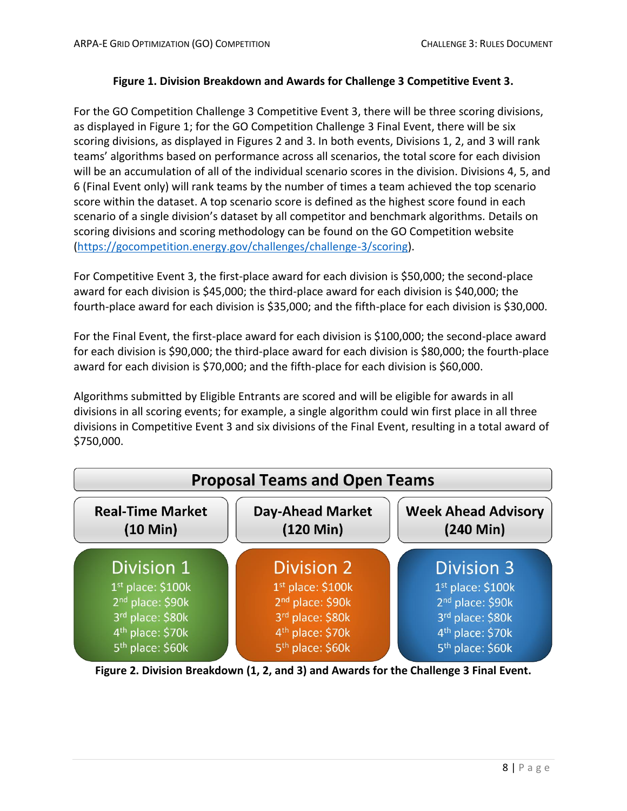### **Figure 1. Division Breakdown and Awards for Challenge 3 Competitive Event 3.**

For the GO Competition Challenge 3 Competitive Event 3, there will be three scoring divisions, as displayed in Figure 1; for the GO Competition Challenge 3 Final Event, there will be six scoring divisions, as displayed in Figures 2 and 3. In both events, Divisions 1, 2, and 3 will rank teams' algorithms based on performance across all scenarios, the total score for each division will be an accumulation of all of the individual scenario scores in the division. Divisions 4, 5, and 6 (Final Event only) will rank teams by the number of times a team achieved the top scenario score within the dataset. A top scenario score is defined as the highest score found in each scenario of a single division's dataset by all competitor and benchmark algorithms. Details on scoring divisions and scoring methodology can be found on the GO Competition website [\(https://gocompetition.energy.gov/challenges/challenge-3/scoring\)](https://gocompetition.energy.gov/challenges/challenge-3/scoring).

For Competitive Event 3, the first-place award for each division is \$50,000; the second-place award for each division is \$45,000; the third-place award for each division is \$40,000; the fourth-place award for each division is \$35,000; and the fifth-place for each division is \$30,000.

For the Final Event, the first-place award for each division is \$100,000; the second-place award for each division is \$90,000; the third-place award for each division is \$80,000; the fourth-place award for each division is \$70,000; and the fifth-place for each division is \$60,000.

Algorithms submitted by Eligible Entrants are scored and will be eligible for awards in all divisions in all scoring events; for example, a single algorithm could win first place in all three divisions in Competitive Event 3 and six divisions of the Final Event, resulting in a total award of \$750,000.



**Figure 2. Division Breakdown (1, 2, and 3) and Awards for the Challenge 3 Final Event.**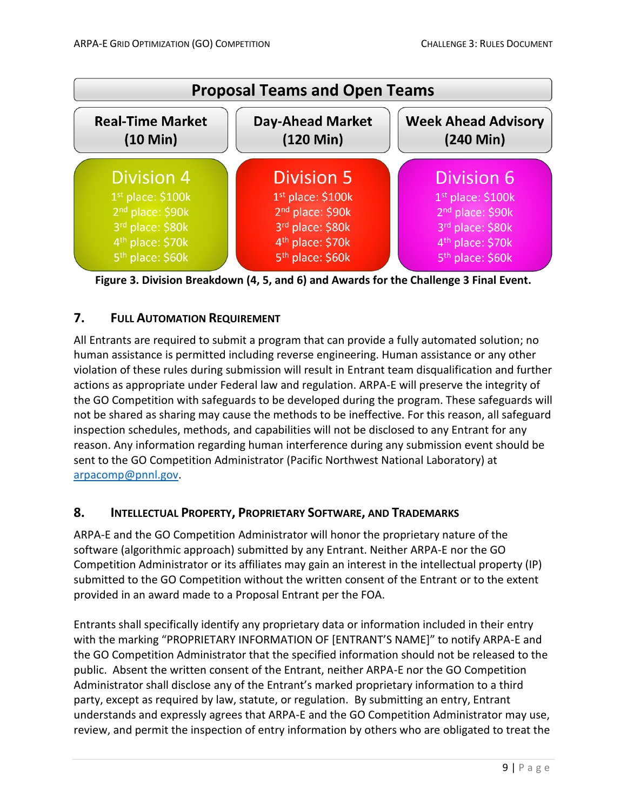

**Figure 3. Division Breakdown (4, 5, and 6) and Awards for the Challenge 3 Final Event.**

# **7. FULL AUTOMATION REQUIREMENT**

All Entrants are required to submit a program that can provide a fully automated solution; no human assistance is permitted including reverse engineering. Human assistance or any other violation of these rules during submission will result in Entrant team disqualification and further actions as appropriate under Federal law and regulation. ARPA-E will preserve the integrity of the GO Competition with safeguards to be developed during the program. These safeguards will not be shared as sharing may cause the methods to be ineffective. For this reason, all safeguard inspection schedules, methods, and capabilities will not be disclosed to any Entrant for any reason. Any information regarding human interference during any submission event should be sent to the GO Competition Administrator (Pacific Northwest National Laboratory) at [arpacomp@pnnl.gov.](mailto:arpacomp@pnnl.gov)

# **8. INTELLECTUAL PROPERTY, PROPRIETARY SOFTWARE, AND TRADEMARKS**

ARPA-E and the GO Competition Administrator will honor the proprietary nature of the software (algorithmic approach) submitted by any Entrant. Neither ARPA-E nor the GO Competition Administrator or its affiliates may gain an interest in the intellectual property (IP) submitted to the GO Competition without the written consent of the Entrant or to the extent provided in an award made to a Proposal Entrant per the FOA.

Entrants shall specifically identify any proprietary data or information included in their entry with the marking "PROPRIETARY INFORMATION OF [ENTRANT'S NAME]" to notify ARPA-E and the GO Competition Administrator that the specified information should not be released to the public. Absent the written consent of the Entrant, neither ARPA-E nor the GO Competition Administrator shall disclose any of the Entrant's marked proprietary information to a third party, except as required by law, statute, or regulation. By submitting an entry, Entrant understands and expressly agrees that ARPA-E and the GO Competition Administrator may use, review, and permit the inspection of entry information by others who are obligated to treat the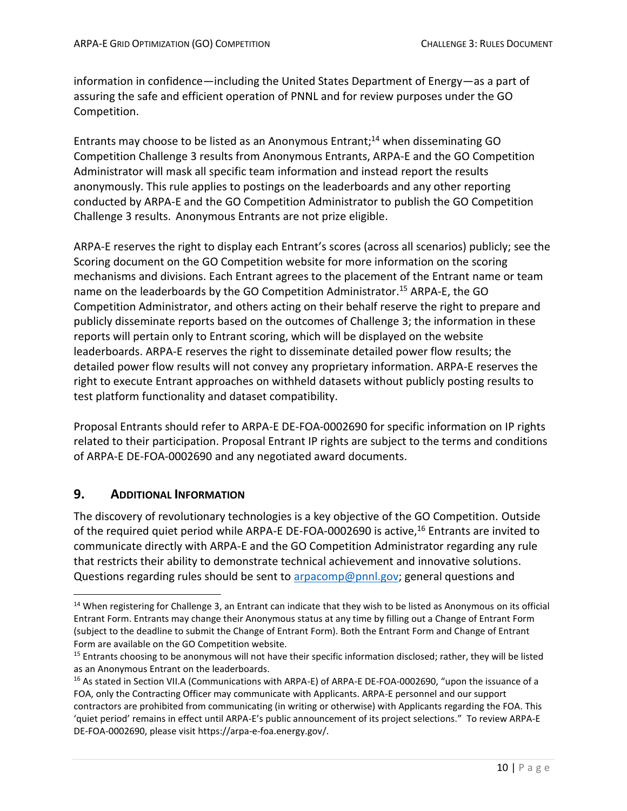information in confidence—including the United States Department of Energy—as a part of assuring the safe and efficient operation of PNNL and for review purposes under the GO Competition.

Entrants may choose to be listed as an Anonymous Entrant;<sup>14</sup> when disseminating GO Competition Challenge 3 results from Anonymous Entrants, ARPA-E and the GO Competition Administrator will mask all specific team information and instead report the results anonymously. This rule applies to postings on the leaderboards and any other reporting conducted by ARPA-E and the GO Competition Administrator to publish the GO Competition Challenge 3 results. Anonymous Entrants are not prize eligible.

ARPA-E reserves the right to display each Entrant's scores (across all scenarios) publicly; see the Scoring document on the GO Competition website for more information on the scoring mechanisms and divisions. Each Entrant agrees to the placement of the Entrant name or team name on the leaderboards by the GO Competition Administrator. <sup>15</sup> ARPA-E, the GO Competition Administrator, and others acting on their behalf reserve the right to prepare and publicly disseminate reports based on the outcomes of Challenge 3; the information in these reports will pertain only to Entrant scoring, which will be displayed on the website leaderboards. ARPA-E reserves the right to disseminate detailed power flow results; the detailed power flow results will not convey any proprietary information. ARPA-E reserves the right to execute Entrant approaches on withheld datasets without publicly posting results to test platform functionality and dataset compatibility.

Proposal Entrants should refer to ARPA-E DE-FOA-0002690 for specific information on IP rights related to their participation. Proposal Entrant IP rights are subject to the terms and conditions of ARPA-E DE-FOA-0002690 and any negotiated award documents.

# **9. ADDITIONAL INFORMATION**

The discovery of revolutionary technologies is a key objective of the GO Competition. Outside of the required quiet period while ARPA-E DE-FOA-0002690 is active,<sup>16</sup> Entrants are invited to communicate directly with ARPA-E and the GO Competition Administrator regarding any rule that restricts their ability to demonstrate technical achievement and innovative solutions. Questions regarding rules should be sent to [arpacomp@pnnl.gov;](mailto:arpacomp@pnnl.gov) general questions and

 $14$  When registering for Challenge 3, an Entrant can indicate that they wish to be listed as Anonymous on its official Entrant Form. Entrants may change their Anonymous status at any time by filling out a Change of Entrant Form (subject to the deadline to submit the Change of Entrant Form). Both the Entrant Form and Change of Entrant Form are available on the GO Competition website.

<sup>&</sup>lt;sup>15</sup> Entrants choosing to be anonymous will not have their specific information disclosed; rather, they will be listed as an Anonymous Entrant on the leaderboards.

<sup>&</sup>lt;sup>16</sup> As stated in Section VII.A (Communications with ARPA-E) of ARPA-E DE-FOA-0002690, "upon the issuance of a FOA, only the Contracting Officer may communicate with Applicants. ARPA-E personnel and our support contractors are prohibited from communicating (in writing or otherwise) with Applicants regarding the FOA. This 'quiet period' remains in effect until ARPA-E's public announcement of its project selections." To review ARPA-E DE-FOA-0002690, please visit https://arpa-e-foa.energy.gov/.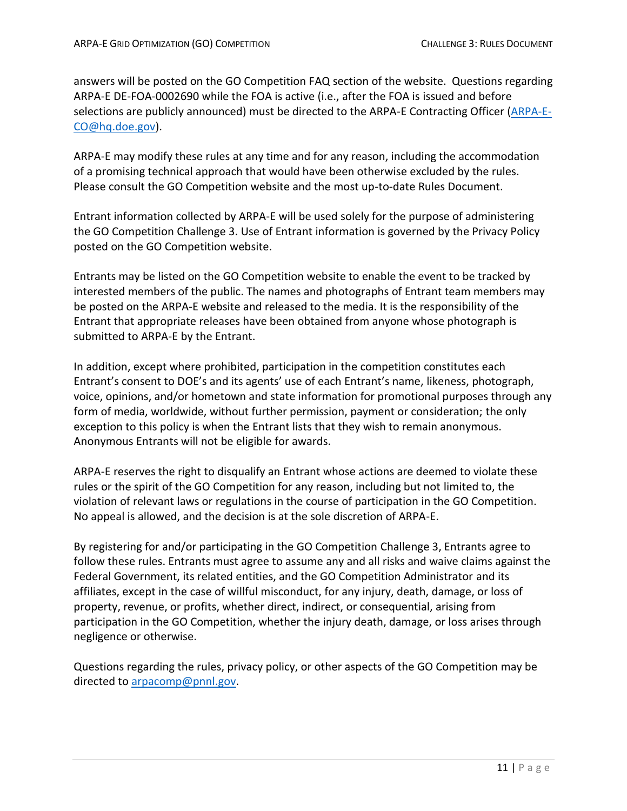answers will be posted on the GO Competition FAQ section of the website. Questions regarding ARPA-E DE-FOA-0002690 while the FOA is active (i.e., after the FOA is issued and before selections are publicly announced) must be directed to the ARPA-E Contracting Officer [\(ARPA-E-](mailto:ARPA-E-CO@hq.doe.gov)[CO@hq.doe.gov\)](mailto:ARPA-E-CO@hq.doe.gov).

ARPA-E may modify these rules at any time and for any reason, including the accommodation of a promising technical approach that would have been otherwise excluded by the rules. Please consult the GO Competition website and the most up-to-date Rules Document.

Entrant information collected by ARPA-E will be used solely for the purpose of administering the GO Competition Challenge 3. Use of Entrant information is governed by the Privacy Policy posted on the GO Competition website.

Entrants may be listed on the GO Competition website to enable the event to be tracked by interested members of the public. The names and photographs of Entrant team members may be posted on the ARPA-E website and released to the media. It is the responsibility of the Entrant that appropriate releases have been obtained from anyone whose photograph is submitted to ARPA-E by the Entrant.

In addition, except where prohibited, participation in the competition constitutes each Entrant's consent to DOE's and its agents' use of each Entrant's name, likeness, photograph, voice, opinions, and/or hometown and state information for promotional purposes through any form of media, worldwide, without further permission, payment or consideration; the only exception to this policy is when the Entrant lists that they wish to remain anonymous. Anonymous Entrants will not be eligible for awards.

ARPA-E reserves the right to disqualify an Entrant whose actions are deemed to violate these rules or the spirit of the GO Competition for any reason, including but not limited to, the violation of relevant laws or regulations in the course of participation in the GO Competition. No appeal is allowed, and the decision is at the sole discretion of ARPA-E.

By registering for and/or participating in the GO Competition Challenge 3, Entrants agree to follow these rules. Entrants must agree to assume any and all risks and waive claims against the Federal Government, its related entities, and the GO Competition Administrator and its affiliates, except in the case of willful misconduct, for any injury, death, damage, or loss of property, revenue, or profits, whether direct, indirect, or consequential, arising from participation in the GO Competition, whether the injury death, damage, or loss arises through negligence or otherwise.

Questions regarding the rules, privacy policy, or other aspects of the GO Competition may be directed to [arpacomp@pnnl.gov.](mailto:arpacomp@pnnl.gov)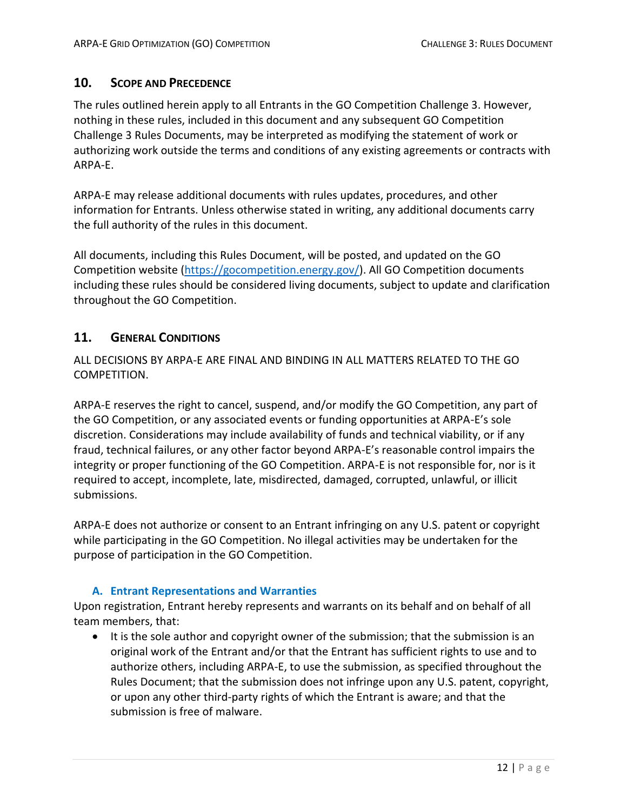# **10. SCOPE AND PRECEDENCE**

The rules outlined herein apply to all Entrants in the GO Competition Challenge 3. However, nothing in these rules, included in this document and any subsequent GO Competition Challenge 3 Rules Documents, may be interpreted as modifying the statement of work or authorizing work outside the terms and conditions of any existing agreements or contracts with ARPA-E.

ARPA-E may release additional documents with rules updates, procedures, and other information for Entrants. Unless otherwise stated in writing, any additional documents carry the full authority of the rules in this document.

All documents, including this Rules Document, will be posted, and updated on the GO Competition website [\(https://gocompetition.energy.gov/\)](https://gocompetition.energy.gov/). All GO Competition documents including these rules should be considered living documents, subject to update and clarification throughout the GO Competition.

# **11. GENERAL CONDITIONS**

ALL DECISIONS BY ARPA-E ARE FINAL AND BINDING IN ALL MATTERS RELATED TO THE GO COMPETITION.

ARPA-E reserves the right to cancel, suspend, and/or modify the GO Competition, any part of the GO Competition, or any associated events or funding opportunities at ARPA-E's sole discretion. Considerations may include availability of funds and technical viability, or if any fraud, technical failures, or any other factor beyond ARPA-E's reasonable control impairs the integrity or proper functioning of the GO Competition. ARPA-E is not responsible for, nor is it required to accept, incomplete, late, misdirected, damaged, corrupted, unlawful, or illicit submissions.

ARPA-E does not authorize or consent to an Entrant infringing on any U.S. patent or copyright while participating in the GO Competition. No illegal activities may be undertaken for the purpose of participation in the GO Competition.

### **A. Entrant Representations and Warranties**

Upon registration, Entrant hereby represents and warrants on its behalf and on behalf of all team members, that:

• It is the sole author and copyright owner of the submission; that the submission is an original work of the Entrant and/or that the Entrant has sufficient rights to use and to authorize others, including ARPA-E, to use the submission, as specified throughout the Rules Document; that the submission does not infringe upon any U.S. patent, copyright, or upon any other third-party rights of which the Entrant is aware; and that the submission is free of malware.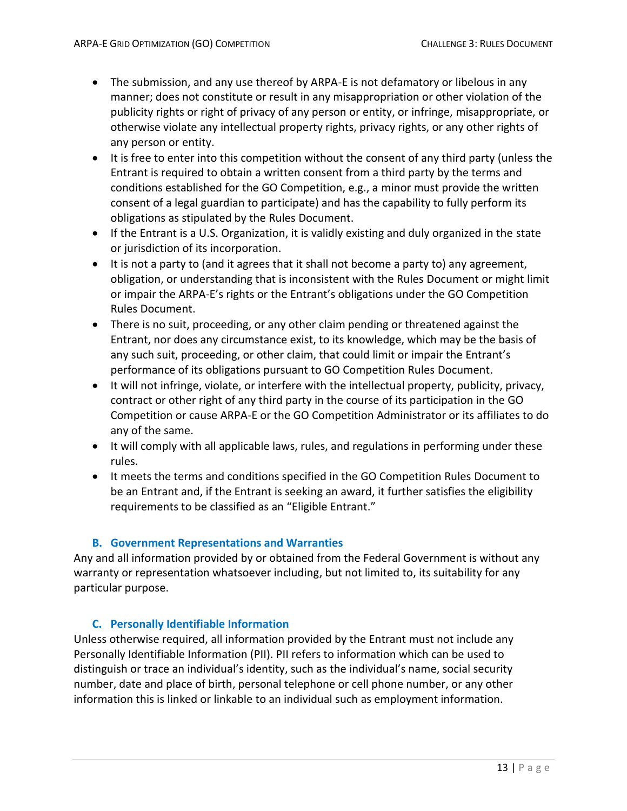- The submission, and any use thereof by ARPA-E is not defamatory or libelous in any manner; does not constitute or result in any misappropriation or other violation of the publicity rights or right of privacy of any person or entity, or infringe, misappropriate, or otherwise violate any intellectual property rights, privacy rights, or any other rights of any person or entity.
- It is free to enter into this competition without the consent of any third party (unless the Entrant is required to obtain a written consent from a third party by the terms and conditions established for the GO Competition, e.g., a minor must provide the written consent of a legal guardian to participate) and has the capability to fully perform its obligations as stipulated by the Rules Document.
- If the Entrant is a U.S. Organization, it is validly existing and duly organized in the state or jurisdiction of its incorporation.
- It is not a party to (and it agrees that it shall not become a party to) any agreement, obligation, or understanding that is inconsistent with the Rules Document or might limit or impair the ARPA-E's rights or the Entrant's obligations under the GO Competition Rules Document.
- There is no suit, proceeding, or any other claim pending or threatened against the Entrant, nor does any circumstance exist, to its knowledge, which may be the basis of any such suit, proceeding, or other claim, that could limit or impair the Entrant's performance of its obligations pursuant to GO Competition Rules Document.
- It will not infringe, violate, or interfere with the intellectual property, publicity, privacy, contract or other right of any third party in the course of its participation in the GO Competition or cause ARPA-E or the GO Competition Administrator or its affiliates to do any of the same.
- It will comply with all applicable laws, rules, and regulations in performing under these rules.
- It meets the terms and conditions specified in the GO Competition Rules Document to be an Entrant and, if the Entrant is seeking an award, it further satisfies the eligibility requirements to be classified as an "Eligible Entrant."

# **B. Government Representations and Warranties**

Any and all information provided by or obtained from the Federal Government is without any warranty or representation whatsoever including, but not limited to, its suitability for any particular purpose.

### **C. Personally Identifiable Information**

Unless otherwise required, all information provided by the Entrant must not include any Personally Identifiable Information (PII). PII refers to information which can be used to distinguish or trace an individual's identity, such as the individual's name, social security number, date and place of birth, personal telephone or cell phone number, or any other information this is linked or linkable to an individual such as employment information.